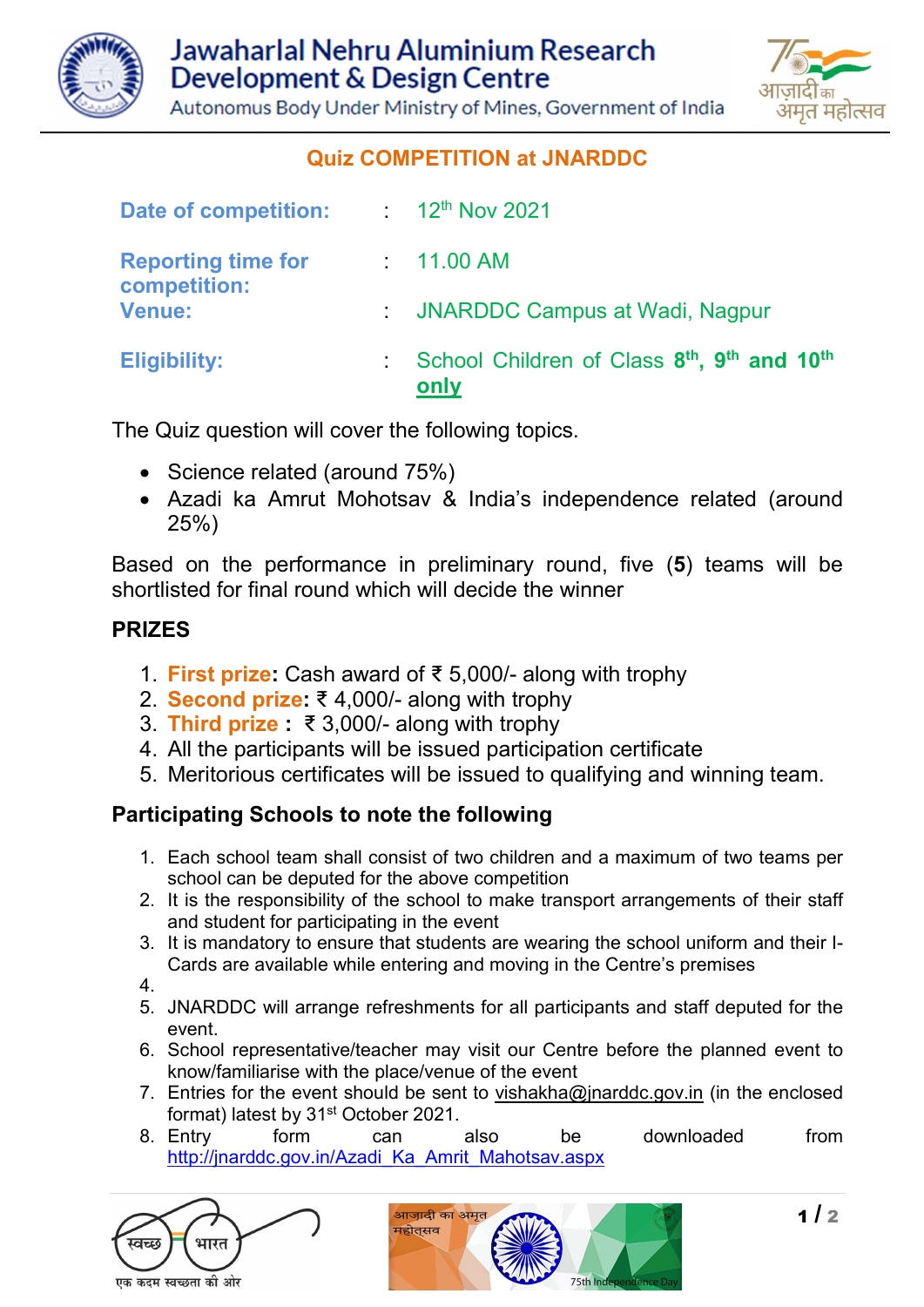

मत महोत्सव

Autonomus Body Under Ministry of Mines, Government of India

# Quiz COMPETITION at JNARDDC

| <b>Date of competition:</b>                                | $\frac{1}{2}$ 12 <sup>th</sup> Nov 2021                                                 |
|------------------------------------------------------------|-----------------------------------------------------------------------------------------|
| <b>Reporting time for</b><br>competition:<br><b>Venue:</b> | : 11.00 AM                                                                              |
|                                                            | : JNARDDC Campus at Wadi, Nagpur                                                        |
| <b>Eligibility:</b>                                        | School Children of Class 8 <sup>th</sup> , 9 <sup>th</sup> and 10 <sup>th</sup><br>only |

The Quiz question will cover the following topics.

- Science related (around 75%)
- Azadi ka Amrut Mohotsav & India's independence related (around 25%)

Based on the performance in preliminary round, five (5) teams will be shortlisted for final round which will decide the winner

#### PRIZES

- 1. First prize: Cash award of ₹ 5,000/- along with trophy
- 2. Second prize: ₹ 4,000/- along with trophy
- 3. Third prize : ₹ 3,000/- along with trophy
- 4. All the participants will be issued participation certificate
- 5. Meritorious certificates will be issued to qualifying and winning team.

### Participating Schools to note the following

- 1. Each school team shall consist of two children and a maximum of two teams per school can be deputed for the above competition
- 2. It is the responsibility of the school to make transport arrangements of their staff and student for participating in the event
- 3. It is mandatory to ensure that students are wearing the school uniform and their I-Cards are available while entering and moving in the Centre's premises

4.

- 5. JNARDDC will arrange refreshments for all participants and staff deputed for the event.
- 6. School representative/teacher may visit our Centre before the planned event to know/familiarise with the place/venue of the event
- 7. Entries for the event should be sent to vishakha@jnarddc.gov.in (in the enclosed format) latest by 31st October 2021.
- 8. Entry form can also be downloaded from http://jnarddc.gov.in/Azadi\_Ka\_Amrit\_Mahotsav.aspx